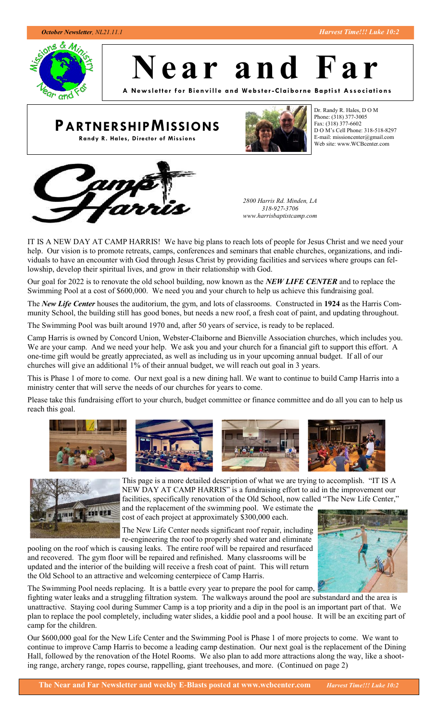

**N e a r a n d F a r**

**A New sl ett er for Bi envill e a nd We bste r -Clai borne Ba pti st Associ ations**

# **PARTNERSHIPMISSIONS**

**Randy R. Hales, Director of Missions**



Dr. Randy R. Hales, D O M Phone: (318) 377-3005 Fax: (318) 377-6602 D O M's Cell Phone: 318-518-8297 E-mail: missioncenter@gmail.com Web site: www.WCBcenter.com



*2800 Harris Rd. Minden, LA 318-927-3706 www.harrisbaptistcamp.com*

IT IS A NEW DAY AT CAMP HARRIS! We have big plans to reach lots of people for Jesus Christ and we need your help. Our vision is to promote retreats, camps, conferences and seminars that enable churches, organizations, and individuals to have an encounter with God through Jesus Christ by providing facilities and services where groups can fellowship, develop their spiritual lives, and grow in their relationship with God.

Our goal for 2022 is to renovate the old school building, now known as the *NEW LIFE CENTER* and to replace the Swimming Pool at a cost of \$600,000. We need you and your church to help us achieve this fundraising goal.

The *New Life Center* houses the auditorium, the gym, and lots of classrooms. Constructed in **1924** as the Harris Community School, the building still has good bones, but needs a new roof, a fresh coat of paint, and updating throughout.

The Swimming Pool was built around 1970 and, after 50 years of service, is ready to be replaced.

Camp Harris is owned by Concord Union, Webster-Claiborne and Bienville Association churches, which includes you. We are your camp. And we need your help. We ask you and your church for a financial gift to support this effort. A one-time gift would be greatly appreciated, as well as including us in your upcoming annual budget. If all of our churches will give an additional 1% of their annual budget, we will reach out goal in 3 years.

This is Phase 1 of more to come. Our next goal is a new dining hall. We want to continue to build Camp Harris into a ministry center that will serve the needs of our churches for years to come.

Please take this fundraising effort to your church, budget committee or finance committee and do all you can to help us reach this goal.





This page is a more detailed description of what we are trying to accomplish. "IT IS A NEW DAY AT CAMP HARRIS" is a fundraising effort to aid in the improvement our facilities, specifically renovation of the Old School, now called "The New Life Center,"

and the replacement of the swimming pool. We estimate the cost of each project at approximately \$300,000 each.

The New Life Center needs significant roof repair, including re-engineering the roof to properly shed water and eliminate

pooling on the roof which is causing leaks. The entire roof will be repaired and resurfaced and recovered. The gym floor will be repaired and refinished. Many classrooms will be updated and the interior of the building will receive a fresh coat of paint. This will return the Old School to an attractive and welcoming centerpiece of Camp Harris.



fighting water leaks and a struggling filtration system. The walkways around the pool are substandard and the area is unattractive. Staying cool during Summer Camp is a top priority and a dip in the pool is an important part of that. We plan to replace the pool completely, including water slides, a kiddie pool and a pool house. It will be an exciting part of camp for the children.

Our \$600,000 goal for the New Life Center and the Swimming Pool is Phase 1 of more projects to come. We want to continue to improve Camp Harris to become a leading camp destination. Our next goal is the replacement of the Dining Hall, followed by the renovation of the Hotel Rooms. We also plan to add more attractions along the way, like a shooting range, archery range, ropes course, rappelling, giant treehouses, and more. (Continued on page 2)